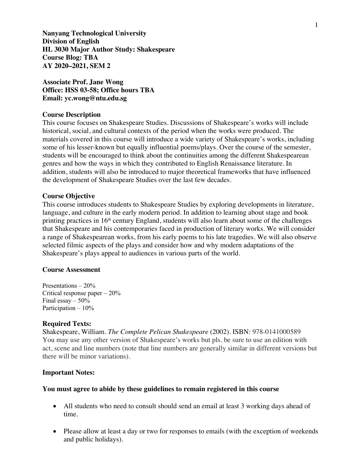**Nanyang Technological University Division of English HL 3030 Major Author Study: Shakespeare Course Blog: TBA AY 2020–2021, SEM 2**

**Associate Prof. Jane Wong Office: HSS 03-58; Office hours TBA Email: yc.wong@ntu.edu.sg**

# **Course Description**

This course focuses on Shakespeare Studies. Discussions of Shakespeare's works will include historical, social, and cultural contexts of the period when the works were produced. The materials covered in this course will introduce a wide variety of Shakespeare's works, including some of his lesser-known but equally influential poems/plays. Over the course of the semester, students will be encouraged to think about the continuities among the different Shakespearean genres and how the ways in which they contributed to English Renaissance literature. In addition, students will also be introduced to major theoretical frameworks that have influenced the development of Shakespeare Studies over the last few decades.

## **Course Objective**

This course introduces students to Shakespeare Studies by exploring developments in literature, language, and culture in the early modern period. In addition to learning about stage and book printing practices in 16th century England, students will also learn about some of the challenges that Shakespeare and his contemporaries faced in production of literary works. We will consider a range of Shakespearean works, from his early poems to his late tragedies. We will also observe selected filmic aspects of the plays and consider how and why modern adaptations of the Shakespeare's plays appeal to audiences in various parts of the world.

## **Course Assessment**

Presentations – 20% Critical response paper – 20% Final essay  $-50\%$ Participation – 10%

# **Required Texts:**

Shakespeare, William. *The Complete Pelican Shakespeare* (2002). ISBN: 978-0141000589 You may use any other version of Shakespeare's works but pls. be sure to use an edition with act, scene and line numbers (note that line numbers are generally similar in different versions but there will be minor variations).

#### **Important Notes:**

# **You must agree to abide by these guidelines to remain registered in this course**

- All students who need to consult should send an email at least 3 working days ahead of time.
- Please allow at least a day or two for responses to emails (with the exception of weekends and public holidays).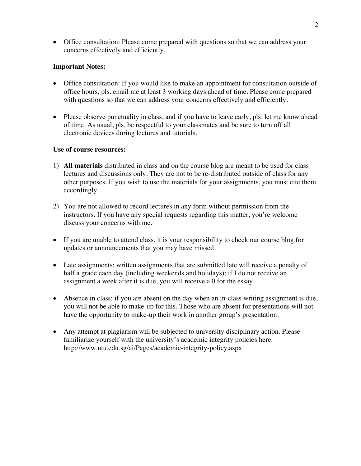• Office consultation: Please come prepared with questions so that we can address your concerns effectively and efficiently.

# **Important Notes:**

- Office consultation: If you would like to make an appointment for consultation outside of office hours, pls. email me at least 3 working days ahead of time. Please come prepared with questions so that we can address your concerns effectively and efficiently.
- Please observe punctuality in class, and if you have to leave early, pls. let me know ahead of time. As usual, pls. be respectful to your classmates and be sure to turn off all electronic devices during lectures and tutorials.

# **Use of course resources:**

- 1) **All materials** distributed in class and on the course blog are meant to be used for class lectures and discussions only. They are not to be re-distributed outside of class for any other purposes. If you wish to use the materials for your assignments, you must cite them accordingly.
- 2) You are not allowed to record lectures in any form without permission from the instructors. If you have any special requests regarding this matter, you're welcome discuss your concerns with me.
- If you are unable to attend class, it is your responsibility to check our course blog for updates or announcements that you may have missed.
- Late assignments: written assignments that are submitted late will receive a penalty of half a grade each day (including weekends and holidays); if I do not receive an assignment a week after it is due, you will receive a 0 for the essay.
- Absence in class: if you are absent on the day when an in-class writing assignment is due, you will not be able to make-up for this. Those who are absent for presentations will not have the opportunity to make-up their work in another group's presentation.
- Any attempt at plagiarism will be subjected to university disciplinary action. Please familiarize yourself with the university's academic integrity policies here: http://www.ntu.edu.sg/ai/Pages/academic-integrity-policy.aspx